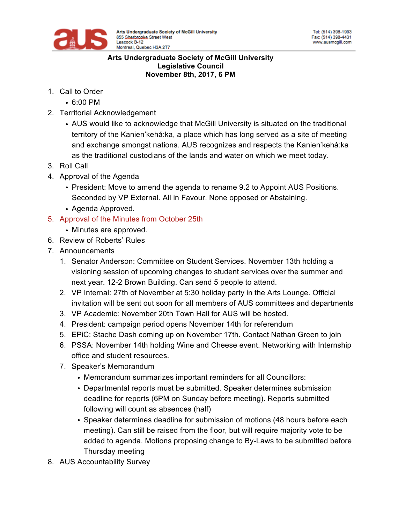

#### **Arts Undergraduate Society of McGill University Legislative Council November 8th, 2017, 6 PM**

- 1. Call to Order
	- 6:00 PM
- 2. Territorial Acknowledgement
	- AUS would like to acknowledge that McGill University is situated on the traditional territory of the Kanien'kehá:ka, a place which has long served as a site of meeting and exchange amongst nations. AUS recognizes and respects the Kanien'kehá:ka as the traditional custodians of the lands and water on which we meet today.
- 3. Roll Call
- 4. Approval of the Agenda
	- President: Move to amend the agenda to rename 9.2 to Appoint AUS Positions. Seconded by VP External. All in Favour. None opposed or Abstaining.
	- Agenda Approved.
- 5. Approval of the Minutes from October 25th
	- Minutes are approved.
- 6. Review of Roberts' Rules
- 7. Announcements
	- 1. Senator Anderson: Committee on Student Services. November 13th holding a visioning session of upcoming changes to student services over the summer and next year. 12-2 Brown Building. Can send 5 people to attend.
	- 2. VP Internal: 27th of November at 5:30 holiday party in the Arts Lounge. Official invitation will be sent out soon for all members of AUS committees and departments
	- 3. VP Academic: November 20th Town Hall for AUS will be hosted.
	- 4. President: campaign period opens November 14th for referendum
	- 5. EPiC: Stache Dash coming up on November 17th. Contact Nathan Green to join
	- 6. PSSA: November 14th holding Wine and Cheese event. Networking with Internship office and student resources.
	- 7. Speaker's Memorandum
		- Memorandum summarizes important reminders for all Councillors:
		- Departmental reports must be submitted. Speaker determines submission deadline for reports (6PM on Sunday before meeting). Reports submitted following will count as absences (half)
		- Speaker determines deadline for submission of motions (48 hours before each meeting). Can still be raised from the floor, but will require majority vote to be added to agenda. Motions proposing change to By-Laws to be submitted before Thursday meeting
- 8. AUS Accountability Survey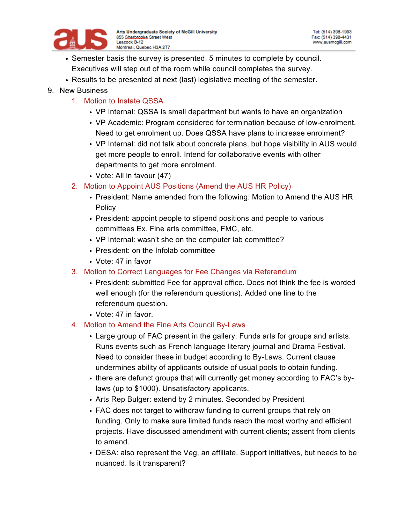

- Semester basis the survey is presented. 5 minutes to complete by council. Executives will step out of the room while council completes the survey.
- Results to be presented at next (last) legislative meeting of the semester.
- 9. New Business
	- 1. Motion to Instate QSSA
		- VP Internal: QSSA is small department but wants to have an organization
		- VP Academic: Program considered for termination because of low-enrolment. Need to get enrolment up. Does QSSA have plans to increase enrolment?
		- VP Internal: did not talk about concrete plans, but hope visibility in AUS would get more people to enroll. Intend for collaborative events with other departments to get more enrolment.
		- Vote: All in favour (47)
	- 2. Motion to Appoint AUS Positions (Amend the AUS HR Policy)
		- President: Name amended from the following: Motion to Amend the AUS HR **Policy**
		- President: appoint people to stipend positions and people to various committees Ex. Fine arts committee, FMC, etc.
		- VP Internal: wasn't she on the computer lab committee?
		- President: on the Infolab committee
		- Vote: 47 in favor
	- 3. Motion to Correct Languages for Fee Changes via Referendum
		- President: submitted Fee for approval office. Does not think the fee is worded well enough (for the referendum questions). Added one line to the referendum question.
		- Vote: 47 in favor.
	- 4. Motion to Amend the Fine Arts Council By-Laws
		- Large group of FAC present in the gallery. Funds arts for groups and artists. Runs events such as French language literary journal and Drama Festival. Need to consider these in budget according to By-Laws. Current clause undermines ability of applicants outside of usual pools to obtain funding.
		- there are defunct groups that will currently get money according to FAC's bylaws (up to \$1000). Unsatisfactory applicants.
		- Arts Rep Bulger: extend by 2 minutes. Seconded by President
		- FAC does not target to withdraw funding to current groups that rely on funding. Only to make sure limited funds reach the most worthy and efficient projects. Have discussed amendment with current clients; assent from clients to amend.
		- DESA: also represent the Veg, an affiliate. Support initiatives, but needs to be nuanced. Is it transparent?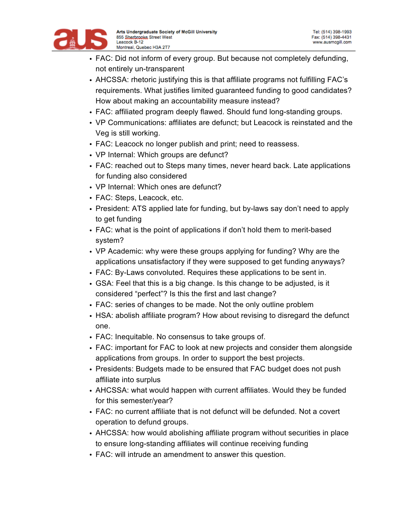

- FAC: Did not inform of every group. But because not completely defunding, not entirely un-transparent
- AHCSSA: rhetoric justifying this is that affiliate programs not fulfilling FAC's requirements. What justifies limited guaranteed funding to good candidates? How about making an accountability measure instead?
- FAC: affiliated program deeply flawed. Should fund long-standing groups.
- VP Communications: affiliates are defunct; but Leacock is reinstated and the Veg is still working.
- FAC: Leacock no longer publish and print; need to reassess.
- VP Internal: Which groups are defunct?
- FAC: reached out to Steps many times, never heard back. Late applications for funding also considered
- VP Internal: Which ones are defunct?
- FAC: Steps, Leacock, etc.
- President: ATS applied late for funding, but by-laws say don't need to apply to get funding
- FAC: what is the point of applications if don't hold them to merit-based system?
- VP Academic: why were these groups applying for funding? Why are the applications unsatisfactory if they were supposed to get funding anyways?
- FAC: By-Laws convoluted. Requires these applications to be sent in.
- GSA: Feel that this is a big change. Is this change to be adjusted, is it considered "perfect"? Is this the first and last change?
- FAC: series of changes to be made. Not the only outline problem
- HSA: abolish affiliate program? How about revising to disregard the defunct one.
- FAC: Inequitable. No consensus to take groups of.
- FAC: important for FAC to look at new projects and consider them alongside applications from groups. In order to support the best projects.
- Presidents: Budgets made to be ensured that FAC budget does not push affiliate into surplus
- AHCSSA: what would happen with current affiliates. Would they be funded for this semester/year?
- FAC: no current affiliate that is not defunct will be defunded. Not a covert operation to defund groups.
- AHCSSA: how would abolishing affiliate program without securities in place to ensure long-standing affiliates will continue receiving funding
- FAC: will intrude an amendment to answer this question.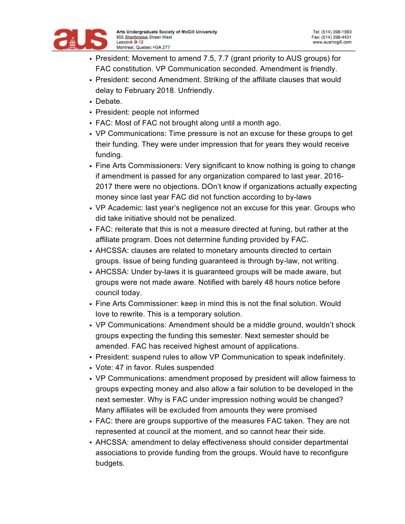

- President: Movement to amend 7.5, 7.7 (grant priority to AUS groups) for FAC constitution. VP Communication seconded. Amendment is friendly.
- President: second Amendment. Striking of the affiliate clauses that would delay to February 2018. Unfriendly.
- Debate.
- President: people not informed
- FAC: Most of FAC not brought along until a month ago.
- VP Communications: Time pressure is not an excuse for these groups to get their funding. They were under impression that for years they would receive funding.
- Fine Arts Commissioners: Very significant to know nothing is going to change if amendment is passed for any organization compared to last year. 2016- 2017 there were no objections. DOn't know if organizations actually expecting money since last year FAC did not function according to by-laws
- VP Academic: last year's negligence not an excuse for this year. Groups who did take initiative should not be penalized.
- FAC: reiterate that this is not a measure directed at funing, but rather at the affiliate program. Does not determine funding provided by FAC.
- AHCSSA: clauses are related to monetary amounts directed to certain groups. Issue of being funding guaranteed is through by-law, not writing.
- AHCSSA: Under by-laws it is guaranteed groups will be made aware, but groups were not made aware. Notified with barely 48 hours notice before council today.
- Fine Arts Commissioner: keep in mind this is not the final solution. Would love to rewrite. This is a temporary solution.
- VP Communications: Amendment should be a middle ground, wouldn't shock groups expecting the funding this semester. Next semester should be amended. FAC has received highest amount of applications.
- President: suspend rules to allow VP Communication to speak indefinitely.
- Vote: 47 in favor. Rules suspended
- VP Communications: amendment proposed by president will allow fairness to groups expecting money and also allow a fair solution to be developed in the next semester. Why is FAC under impression nothing would be changed? Many affiliates will be excluded from amounts they were promised
- FAC: there are groups supportive of the measures FAC taken. They are not represented at council at the moment, and so cannot hear their side.
- AHCSSA: amendment to delay effectiveness should consider departmental associations to provide funding from the groups. Would have to reconfigure budgets.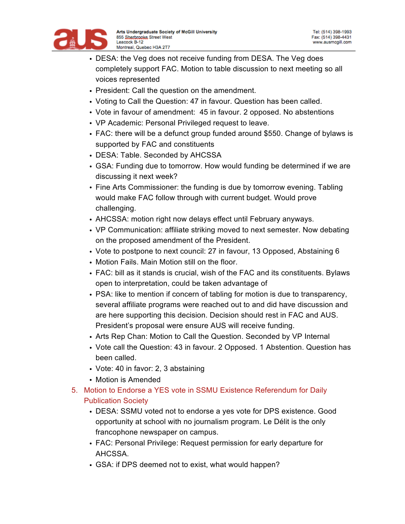

- DESA: the Veg does not receive funding from DESA. The Veg does completely support FAC. Motion to table discussion to next meeting so all voices represented
- President: Call the question on the amendment.
- Voting to Call the Question: 47 in favour. Question has been called.
- Vote in favour of amendment: 45 in favour. 2 opposed. No abstentions
- VP Academic: Personal Privileged request to leave.
- FAC: there will be a defunct group funded around \$550. Change of bylaws is supported by FAC and constituents
- DESA: Table. Seconded by AHCSSA
- GSA: Funding due to tomorrow. How would funding be determined if we are discussing it next week?
- Fine Arts Commissioner: the funding is due by tomorrow evening. Tabling would make FAC follow through with current budget. Would prove challenging.
- AHCSSA: motion right now delays effect until February anyways.
- VP Communication: affiliate striking moved to next semester. Now debating on the proposed amendment of the President.
- Vote to postpone to next council: 27 in favour, 13 Opposed, Abstaining 6
- Motion Fails. Main Motion still on the floor.
- FAC: bill as it stands is crucial, wish of the FAC and its constituents. Bylaws open to interpretation, could be taken advantage of
- PSA: like to mention if concern of tabling for motion is due to transparency, several affiliate programs were reached out to and did have discussion and are here supporting this decision. Decision should rest in FAC and AUS. President's proposal were ensure AUS will receive funding.
- Arts Rep Chan: Motion to Call the Question. Seconded by VP Internal
- Vote call the Question: 43 in favour. 2 Opposed. 1 Abstention. Question has been called.
- Vote: 40 in favor: 2, 3 abstaining
- Motion is Amended
- 5. Motion to Endorse a YES vote in SSMU Existence Referendum for Daily Publication Society
	- DESA: SSMU voted not to endorse a yes vote for DPS existence. Good opportunity at school with no journalism program. Le Délit is the only francophone newspaper on campus.
	- FAC: Personal Privilege: Request permission for early departure for AHCSSA.
	- GSA: if DPS deemed not to exist, what would happen?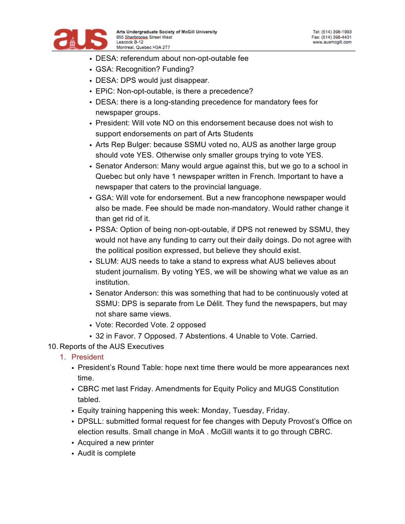

- DESA: referendum about non-opt-outable fee
- GSA: Recognition? Funding?
- DESA: DPS would just disappear.
- EPiC: Non-opt-outable, is there a precedence?
- DESA: there is a long-standing precedence for mandatory fees for newspaper groups.
- President: Will vote NO on this endorsement because does not wish to support endorsements on part of Arts Students
- Arts Rep Bulger: because SSMU voted no, AUS as another large group should vote YES. Otherwise only smaller groups trying to vote YES.
- Senator Anderson: Many would argue against this, but we go to a school in Quebec but only have 1 newspaper written in French. Important to have a newspaper that caters to the provincial language.
- GSA: Will vote for endorsement. But a new francophone newspaper would also be made. Fee should be made non-mandatory. Would rather change it than get rid of it.
- PSSA: Option of being non-opt-outable, if DPS not renewed by SSMU, they would not have any funding to carry out their daily doings. Do not agree with the political position expressed, but believe they should exist.
- SLUM: AUS needs to take a stand to express what AUS believes about student journalism. By voting YES, we will be showing what we value as an institution.
- Senator Anderson: this was something that had to be continuously voted at SSMU: DPS is separate from Le Délit. They fund the newspapers, but may not share same views.
- Vote: Recorded Vote. 2 opposed
- 32 in Favor. 7 Opposed. 7 Abstentions. 4 Unable to Vote. Carried.
- 10. Reports of the AUS Executives
	- 1. President
		- President's Round Table: hope next time there would be more appearances next time.
		- CBRC met last Friday. Amendments for Equity Policy and MUGS Constitution tabled.
		- Equity training happening this week: Monday, Tuesday, Friday.
		- DPSLL: submitted formal request for fee changes with Deputy Provost's Office on election results. Small change in MoA . McGill wants it to go through CBRC.
		- Acquired a new printer
		- Audit is complete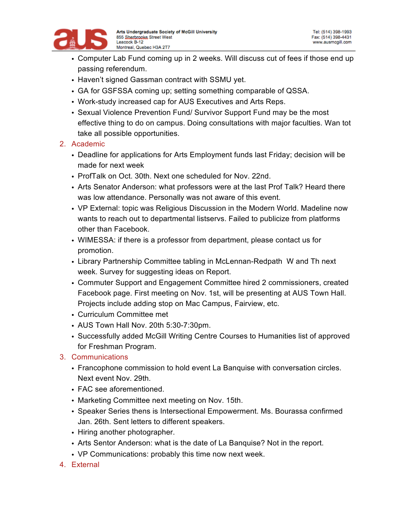

- Computer Lab Fund coming up in 2 weeks. Will discuss cut of fees if those end up passing referendum.
- Haven't signed Gassman contract with SSMU yet.
- GA for GSFSSA coming up; setting something comparable of QSSA.
- Work-study increased cap for AUS Executives and Arts Reps.
- Sexual Violence Prevention Fund/ Survivor Support Fund may be the most effective thing to do on campus. Doing consultations with major faculties. Wan tot take all possible opportunities.

## 2. Academic

- Deadline for applications for Arts Employment funds last Friday; decision will be made for next week
- ProfTalk on Oct. 30th. Next one scheduled for Nov. 22nd.
- Arts Senator Anderson: what professors were at the last Prof Talk? Heard there was low attendance. Personally was not aware of this event.
- VP External: topic was Religious Discussion in the Modern World. Madeline now wants to reach out to departmental listservs. Failed to publicize from platforms other than Facebook.
- WIMESSA: if there is a professor from department, please contact us for promotion.
- Library Partnership Committee tabling in McLennan-Redpath W and Th next week. Survey for suggesting ideas on Report.
- Commuter Support and Engagement Committee hired 2 commissioners, created Facebook page. First meeting on Nov. 1st, will be presenting at AUS Town Hall. Projects include adding stop on Mac Campus, Fairview, etc.
- Curriculum Committee met
- AUS Town Hall Nov. 20th 5:30-7:30pm.
- Successfully added McGill Writing Centre Courses to Humanities list of approved for Freshman Program.
- 3. Communications
	- Francophone commission to hold event La Banquise with conversation circles. Next event Nov. 29th.
	- FAC see aforementioned.
	- Marketing Committee next meeting on Nov. 15th.
	- Speaker Series thens is Intersectional Empowerment. Ms. Bourassa confirmed Jan. 26th. Sent letters to different speakers.
	- Hiring another photographer.
	- Arts Sentor Anderson: what is the date of La Banquise? Not in the report.
	- VP Communications: probably this time now next week.
- 4. External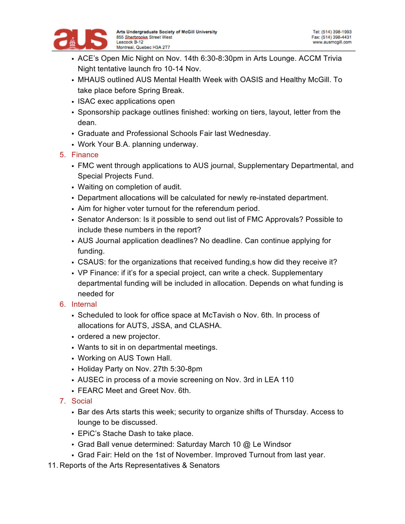

- ACE's Open Mic Night on Nov. 14th 6:30-8:30pm in Arts Lounge. ACCM Trivia Night tentative launch fro 10-14 Nov.
- MHAUS outlined AUS Mental Health Week with OASIS and Healthy McGill. To take place before Spring Break.
- ISAC exec applications open
- Sponsorship package outlines finished: working on tiers, layout, letter from the dean.
- Graduate and Professional Schools Fair last Wednesday.
- Work Your B.A. planning underway.
- 5. Finance
	- FMC went through applications to AUS journal, Supplementary Departmental, and Special Projects Fund.
	- Waiting on completion of audit.
	- Department allocations will be calculated for newly re-instated department.
	- Aim for higher voter turnout for the referendum period.
	- Senator Anderson: Is it possible to send out list of FMC Approvals? Possible to include these numbers in the report?
	- AUS Journal application deadlines? No deadline. Can continue applying for funding.
	- CSAUS: for the organizations that received funding,s how did they receive it?
	- VP Finance: if it's for a special project, can write a check. Supplementary departmental funding will be included in allocation. Depends on what funding is needed for
- 6. Internal
	- Scheduled to look for office space at McTavish o Nov. 6th. In process of allocations for AUTS, JSSA, and CLASHA.
	- ordered a new projector.
	- Wants to sit in on departmental meetings.
	- Working on AUS Town Hall.
	- Holiday Party on Nov. 27th 5:30-8pm
	- AUSEC in process of a movie screening on Nov. 3rd in LEA 110
	- FEARC Meet and Greet Nov. 6th.
- 7. Social
	- Bar des Arts starts this week; security to organize shifts of Thursday. Access to lounge to be discussed.
	- EPiC's Stache Dash to take place.
	- Grad Ball venue determined: Saturday March 10 @ Le Windsor
	- Grad Fair: Held on the 1st of November. Improved Turnout from last year.
- 11. Reports of the Arts Representatives & Senators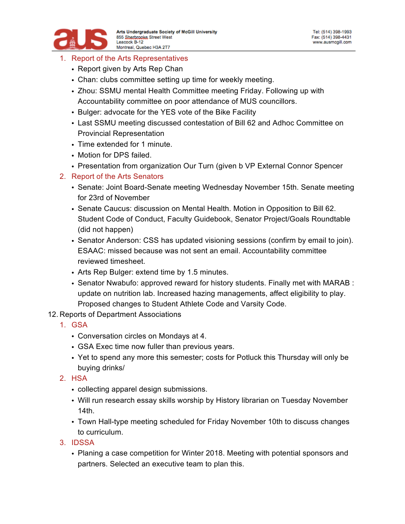

### 1. Report of the Arts Representatives

- Report given by Arts Rep Chan
- Chan: clubs committee setting up time for weekly meeting.
- Zhou: SSMU mental Health Committee meeting Friday. Following up with Accountability committee on poor attendance of MUS councillors.
- Bulger: advocate for the YES vote of the Bike Facility
- Last SSMU meeting discussed contestation of Bill 62 and Adhoc Committee on Provincial Representation
- Time extended for 1 minute.
- Motion for DPS failed.
- Presentation from organization Our Turn (given b VP External Connor Spencer
- 2. Report of the Arts Senators
	- Senate: Joint Board-Senate meeting Wednesday November 15th. Senate meeting for 23rd of November
	- Senate Caucus: discussion on Mental Health. Motion in Opposition to Bill 62. Student Code of Conduct, Faculty Guidebook, Senator Project/Goals Roundtable (did not happen)
	- Senator Anderson: CSS has updated visioning sessions (confirm by email to join). ESAAC: missed because was not sent an email. Accountability committee reviewed timesheet.
	- Arts Rep Bulger: extend time by 1.5 minutes.
	- Senator Nwabufo: approved reward for history students. Finally met with MARAB : update on nutrition lab. Increased hazing managements, affect eligibility to play. Proposed changes to Student Athlete Code and Varsity Code.
- 12. Reports of Department Associations
	- 1. GSA
		- Conversation circles on Mondays at 4.
		- GSA Exec time now fuller than previous years.
		- Yet to spend any more this semester; costs for Potluck this Thursday will only be buying drinks/
	- 2. HSA
		- collecting apparel design submissions.
		- Will run research essay skills worship by History librarian on Tuesday November 14th.
		- Town Hall-type meeting scheduled for Friday November 10th to discuss changes to curriculum.
	- 3. IDSSA
		- Planing a case competition for Winter 2018. Meeting with potential sponsors and partners. Selected an executive team to plan this.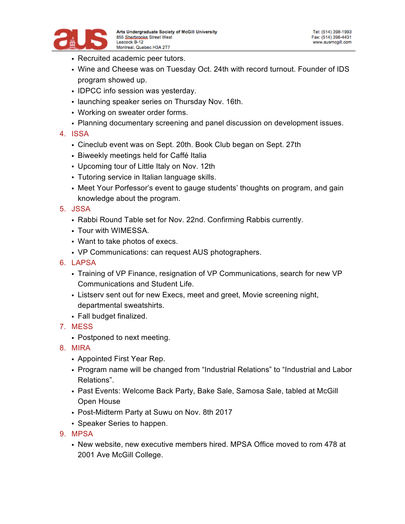

- Recruited academic peer tutors.
- Wine and Cheese was on Tuesday Oct. 24th with record turnout. Founder of IDS program showed up.
- IDPCC info session was yesterday.
- launching speaker series on Thursday Nov. 16th.
- Working on sweater order forms.
- Planning documentary screening and panel discussion on development issues.

### 4. ISSA

- Cineclub event was on Sept. 20th. Book Club began on Sept. 27th
- Biweekly meetings held for Caffé Italia
- Upcoming tour of Little Italy on Nov. 12th
- Tutoring service in Italian language skills.
- Meet Your Porfessor's event to gauge students' thoughts on program, and gain knowledge about the program.

### 5. JSSA

- Rabbi Round Table set for Nov. 22nd. Confirming Rabbis currently.
- Tour with WIMESSA.
- Want to take photos of execs.
- VP Communications: can request AUS photographers.
- 6. LAPSA
	- Training of VP Finance, resignation of VP Communications, search for new VP Communications and Student Life.
	- Listserv sent out for new Execs, meet and greet, Movie screening night, departmental sweatshirts.
	- Fall budget finalized.
- 7. MESS
	- Postponed to next meeting.
- 8. MIRA
	- Appointed First Year Rep.
	- Program name will be changed from "Industrial Relations" to "Industrial and Labor Relations".
	- Past Events: Welcome Back Party, Bake Sale, Samosa Sale, tabled at McGill Open House
	- Post-Midterm Party at Suwu on Nov. 8th 2017
	- Speaker Series to happen.
- 9. MPSA
	- New website, new executive members hired. MPSA Office moved to rom 478 at 2001 Ave McGill College.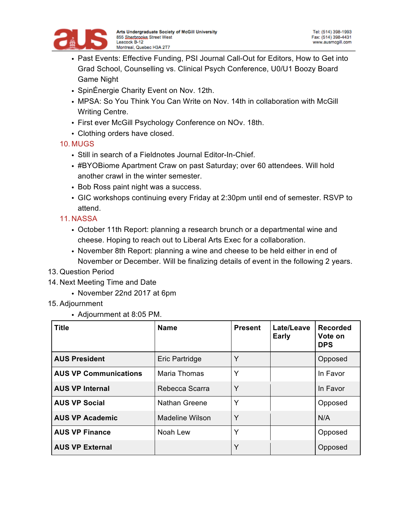

- Past Events: Effective Funding, PSI Journal Call-Out for Editors, How to Get into Grad School, Counselling vs. Clinical Psych Conference, U0/U1 Boozy Board Game Night
- SpinÉnergie Charity Event on Nov. 12th.
- MPSA: So You Think You Can Write on Nov. 14th in collaboration with McGill Writing Centre.
- First ever McGill Psychology Conference on NOv. 18th.
- Clothing orders have closed.

## 10. MUGS

- Still in search of a Fieldnotes Journal Editor-In-Chief.
- #BYOBiome Apartment Craw on past Saturday; over 60 attendees. Will hold another crawl in the winter semester.
- Bob Ross paint night was a success.
- GIC workshops continuing every Friday at 2:30pm until end of semester. RSVP to attend.

# 11. NASSA

- October 11th Report: planning a research brunch or a departmental wine and cheese. Hoping to reach out to Liberal Arts Exec for a collaboration.
- November 8th Report: planning a wine and cheese to be held either in end of November or December. Will be finalizing details of event in the following 2 years.
- 13. Question Period
- 14. Next Meeting Time and Date
	- November 22nd 2017 at 6pm
- 15. Adjournment
	- Adjournment at 8:05 PM.

| <b>Title</b>                 | <b>Name</b>            | <b>Present</b> | Late/Leave<br><b>Early</b> | Recorded<br>Vote on<br><b>DPS</b> |
|------------------------------|------------------------|----------------|----------------------------|-----------------------------------|
| <b>AUS President</b>         | Eric Partridge         | Υ              |                            | Opposed                           |
| <b>AUS VP Communications</b> | Maria Thomas           | Υ              |                            | In Favor                          |
| <b>AUS VP Internal</b>       | Rebecca Scarra         | Υ              |                            | In Favor                          |
| <b>AUS VP Social</b>         | <b>Nathan Greene</b>   | Υ              |                            | Opposed                           |
| <b>AUS VP Academic</b>       | <b>Madeline Wilson</b> | Υ              |                            | N/A                               |
| <b>AUS VP Finance</b>        | Noah Lew               | Υ              |                            | Opposed                           |
| <b>AUS VP External</b>       |                        | Υ              |                            | Opposed                           |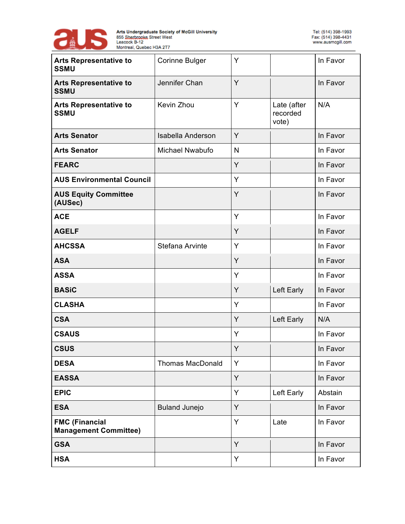

| <b>Arts Representative to</b><br><b>SSMU</b>          | <b>Corinne Bulger</b>   | Y            |                                  | In Favor |
|-------------------------------------------------------|-------------------------|--------------|----------------------------------|----------|
| <b>Arts Representative to</b><br><b>SSMU</b>          | Jennifer Chan           | Y            |                                  | In Favor |
| <b>Arts Representative to</b><br><b>SSMU</b>          | Kevin Zhou              | Y            | Late (after<br>recorded<br>vote) | N/A      |
| <b>Arts Senator</b>                                   | Isabella Anderson       | Y            |                                  | In Favor |
| <b>Arts Senator</b>                                   | Michael Nwabufo         | $\mathsf{N}$ |                                  | In Favor |
| <b>FEARC</b>                                          |                         | Y            |                                  | In Favor |
| <b>AUS Environmental Council</b>                      |                         | Y            |                                  | In Favor |
| <b>AUS Equity Committee</b><br>(AUSec)                |                         | Y            |                                  | In Favor |
| <b>ACE</b>                                            |                         | Y            |                                  | In Favor |
| <b>AGELF</b>                                          |                         | Y            |                                  | In Favor |
| <b>AHCSSA</b>                                         | Stefana Arvinte         | Y            |                                  | In Favor |
| <b>ASA</b>                                            |                         | Y            |                                  | In Favor |
| <b>ASSA</b>                                           |                         | Y            |                                  | In Favor |
| <b>BASiC</b>                                          |                         | Y            | Left Early                       | In Favor |
| <b>CLASHA</b>                                         |                         | Y            |                                  | In Favor |
| <b>CSA</b>                                            |                         | Y            | Left Early                       | N/A      |
| <b>CSAUS</b>                                          |                         | Y            |                                  | In Favor |
| <b>CSUS</b>                                           |                         | Y            |                                  | In Favor |
| <b>DESA</b>                                           | <b>Thomas MacDonald</b> | Υ            |                                  | In Favor |
| <b>EASSA</b>                                          |                         | Y            |                                  | In Favor |
| <b>EPIC</b>                                           |                         | Y            | Left Early                       | Abstain  |
| <b>ESA</b>                                            | <b>Buland Junejo</b>    | Y            |                                  | In Favor |
| <b>FMC (Financial</b><br><b>Management Committee)</b> |                         | Y            | Late                             | In Favor |
| <b>GSA</b>                                            |                         | Y            |                                  | In Favor |
| <b>HSA</b>                                            |                         | Y            |                                  | In Favor |